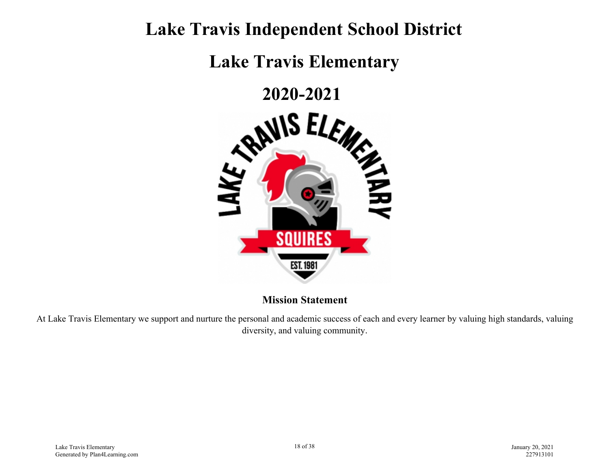## **Lake Travis Independent School District**

**Lake Travis Elementary**

**2020-2021** 



**Mission Statement**

At Lake Travis Elementary we support and nurture the personal and academic success of each and every learner by valuing high standards, valuing diversity, and valuing community.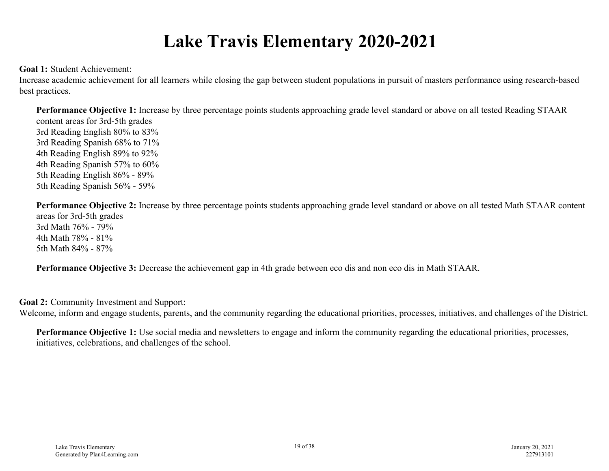## **Lake Travis Elementary 2020-2021**

**Goal 1:** Student Achievement:

Increase academic achievement for all learners while closing the gap between student populations in pursuit of masters performance using research-based best practices.

**Performance Objective 1:** Increase by three percentage points students approaching grade level standard or above on all tested Reading STAAR content areas for 3rd-5th grades 3rd Reading English 80% to 83% 3rd Reading Spanish 68% to 71% 4th Reading English 89% to 92% 4th Reading Spanish 57% to 60% 5th Reading English 86% - 89% 5th Reading Spanish 56% - 59%

**Performance Objective 2:** Increase by three percentage points students approaching grade level standard or above on all tested Math STAAR content areas for 3rd-5th grades 3rd Math 76% - 79% 4th Math 78% - 81% 5th Math 84% - 87%

**Performance Objective 3:** Decrease the achievement gap in 4th grade between eco dis and non eco dis in Math STAAR.

**Goal 2:** Community Investment and Support:

Welcome, inform and engage students, parents, and the community regarding the educational priorities, processes, initiatives, and challenges of the District.

**Performance Objective 1:** Use social media and newsletters to engage and inform the community regarding the educational priorities, processes, initiatives, celebrations, and challenges of the school.